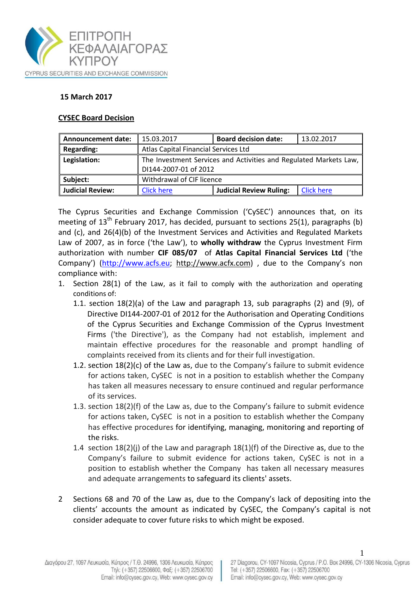

## **15 March 2017**

## **CYSEC Board Decision**

| <b>Announcement date:</b> | 15.03.2017                                                                                 | <b>Board decision date:</b>    | 13.02.2017        |
|---------------------------|--------------------------------------------------------------------------------------------|--------------------------------|-------------------|
| <b>Regarding:</b>         | Atlas Capital Financial Services Ltd                                                       |                                |                   |
| Legislation:              | The Investment Services and Activities and Regulated Markets Law,<br>DI144-2007-01 of 2012 |                                |                   |
| Subject:                  | Withdrawal of CIF licence                                                                  |                                |                   |
| <b>Judicial Review:</b>   | <b>Click here</b>                                                                          | <b>Judicial Review Ruling:</b> | <b>Click here</b> |

The Cyprus Securities and Exchange Commission ('CySEC') announces that, on its meeting of  $13<sup>th</sup>$  February 2017, has decided, pursuant to sections 25(1), paragraphs (b) and (c), and 26(4)(b) of the Investment Services and Activities and Regulated Markets Law of 2007, as in force ('the Law'), to **wholly withdraw** the Cyprus Investment Firm authorization with number **CIF 085/07** of **Atlas Capital Financial Services Ltd** ('the Company') [\(http://www.acfs.eu;](http://www.acfs.eu/) http:/[/www.acfx.com\)](http://www.acfx.com/) , due to the Company's non compliance with:

- 1. Section 28(1) of the Law, as it fail to comply with the authorization and operating conditions of:
	- 1.1. section 18(2)(a) of the Law and paragraph 13, sub paragraphs (2) and (9), of Directive DI144-2007-01 of 2012 for the Authorisation and Operating Conditions of the Cyprus Securities and Exchange Commission of the Cyprus Investment Firms ('the Directive'), as the Company had not establish, implement and maintain effective procedures for the reasonable and prompt handling of complaints received from its clients and for their full investigation.
	- 1.2. section 18(2)(c) of the Law as, due to the Company's failure to submit evidence for actions taken, CySEC is not in a position to establish whether the Company has taken all measures necessary to ensure continued and regular performance of its services.
	- 1.3. section 18(2)(f) of the Law as, due to the Company's failure to submit evidence for actions taken, CySEC is not in a position to establish whether the Company has effective procedures for identifying, managing, monitoring and reporting of the risks.
	- 1.4 section  $18(2)(i)$  of the Law and paragraph  $18(1)(f)$  of the Directive as, due to the Company's failure to submit evidence for actions taken, CySEC is not in a position to establish whether the Company has taken all necessary measures and adequate arrangements to safeguard its clients' assets.
- 2 Sections 68 and 70 of the Law as, due to the Company's lack of depositing into the clients' accounts the amount as indicated by CySEC, the Company's capital is not consider adequate to cover future risks to which might be exposed.